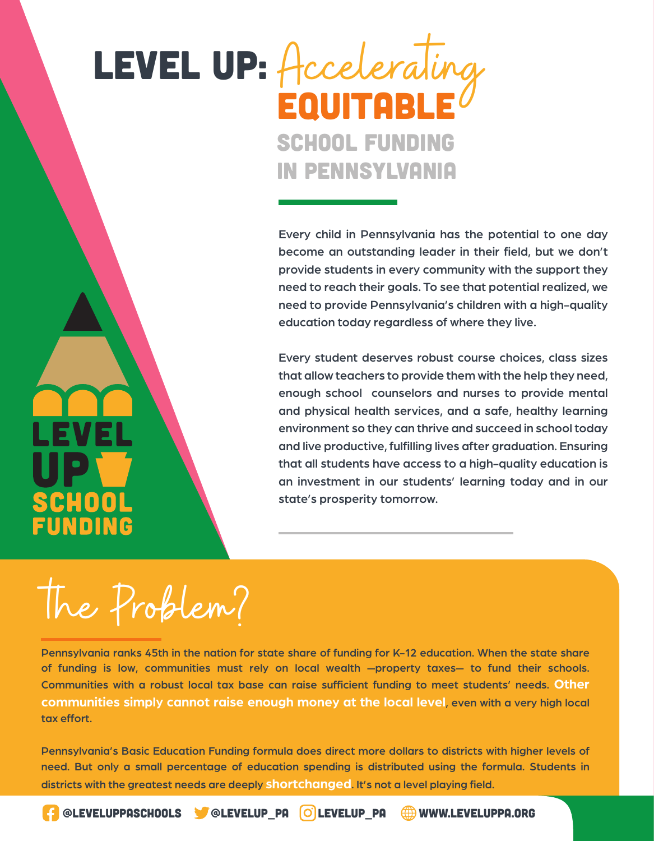## LEVEL UP: Accelerating EQUITABL SCHOOL FUNDING IN PENNSYLVANIA

Every child in Pennsylvania has the potential to one day become an outstanding leader in their field, but we don't provide students in every community with the support they need to reach their goals. To see that potential realized, we need to provide Pennsylvania's children with a high-quality education today regardless of where they live.

Every student deserves robust course choices, class sizes that allow teachers to provide them with the help they need, enough school counselors and nurses to provide mental and physical health services, and a safe, healthy learning environment so they can thrive and succeed in school today and live productive, fulfilling lives after graduation. Ensuring that all students have access to a high-quality education is an investment in our students' learning today and in our state's prosperity tomorrow.

the Problem?

CHOOI

UNDING

Pennsylvania ranks 45th in the nation for state share of funding for K-12 education. When the state share of funding is low, communities must rely on local wealth —property taxes— to fund their schools. Communities with a robust local tax base can raise sufficient funding to meet students' needs. **Other communities simply cannot raise enough money at the local level**, even with a very high local tax effort.

Pennsylvania's Basic Education Funding formula does direct more dollars to districts with higher levels of need. But only a small percentage of education spending is distributed using the formula. Students in districts with the greatest needs are deeply **shortchanged**. It's not a level playing field.